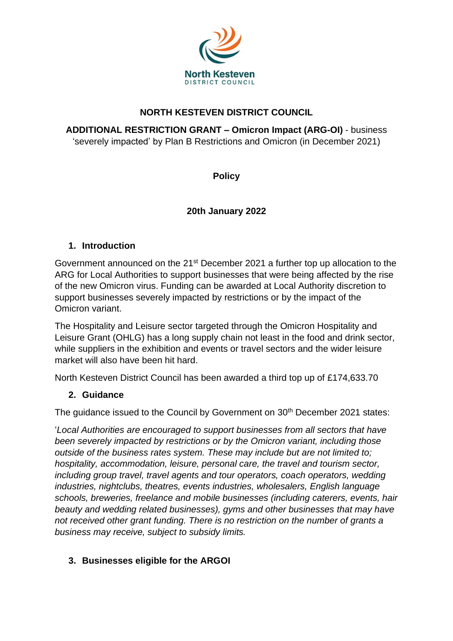

## **NORTH KESTEVEN DISTRICT COUNCIL**

**ADDITIONAL RESTRICTION GRANT – Omicron Impact (ARG-OI)** - business 'severely impacted' by Plan B Restrictions and Omicron (in December 2021)

**Policy**

# **20th January 2022**

### **1. Introduction**

Government announced on the 21st December 2021 a further top up allocation to the ARG for Local Authorities to support businesses that were being affected by the rise of the new Omicron virus. Funding can be awarded at Local Authority discretion to support businesses severely impacted by restrictions or by the impact of the Omicron variant.

The Hospitality and Leisure sector targeted through the Omicron Hospitality and Leisure Grant (OHLG) has a long supply chain not least in the food and drink sector, while suppliers in the exhibition and events or travel sectors and the wider leisure market will also have been hit hard.

North Kesteven District Council has been awarded a third top up of £174,633.70

### **2. Guidance**

The guidance issued to the Council by Government on 30<sup>th</sup> December 2021 states:

'*Local Authorities are encouraged to support businesses from all sectors that have been severely impacted by restrictions or by the Omicron variant, including those outside of the business rates system. These may include but are not limited to; hospitality, accommodation, leisure, personal care, the travel and tourism sector, including group travel, travel agents and tour operators, coach operators, wedding industries, nightclubs, theatres, events industries, wholesalers, English language schools, breweries, freelance and mobile businesses (including caterers, events, hair beauty and wedding related businesses), gyms and other businesses that may have not received other grant funding. There is no restriction on the number of grants a business may receive, subject to subsidy limits.* 

### **3. Businesses eligible for the ARGOI**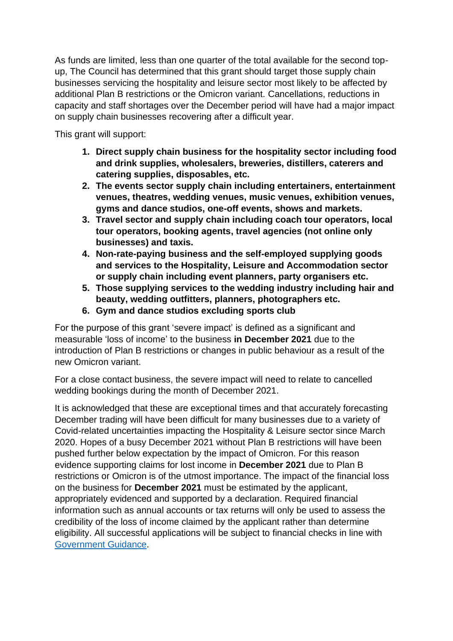As funds are limited, less than one quarter of the total available for the second topup, The Council has determined that this grant should target those supply chain businesses servicing the hospitality and leisure sector most likely to be affected by additional Plan B restrictions or the Omicron variant. Cancellations, reductions in capacity and staff shortages over the December period will have had a major impact on supply chain businesses recovering after a difficult year.

This grant will support:

- **1. Direct supply chain business for the hospitality sector including food and drink supplies, wholesalers, breweries, distillers, caterers and catering supplies, disposables, etc.**
- **2. The events sector supply chain including entertainers, entertainment venues, theatres, wedding venues, music venues, exhibition venues, gyms and dance studios, one-off events, shows and markets.**
- **3. Travel sector and supply chain including coach tour operators, local tour operators, booking agents, travel agencies (not online only businesses) and taxis.**
- **4. Non-rate-paying business and the self-employed supplying goods and services to the Hospitality, Leisure and Accommodation sector or supply chain including event planners, party organisers etc.**
- **5. Those supplying services to the wedding industry including hair and beauty, wedding outfitters, planners, photographers etc.**
- **6. Gym and dance studios excluding sports club**

For the purpose of this grant 'severe impact' is defined as a significant and measurable 'loss of income' to the business **in December 2021** due to the introduction of Plan B restrictions or changes in public behaviour as a result of the new Omicron variant.

For a close contact business, the severe impact will need to relate to cancelled wedding bookings during the month of December 2021.

It is acknowledged that these are exceptional times and that accurately forecasting December trading will have been difficult for many businesses due to a variety of Covid-related uncertainties impacting the Hospitality & Leisure sector since March 2020. Hopes of a busy December 2021 without Plan B restrictions will have been pushed further below expectation by the impact of Omicron. For this reason evidence supporting claims for lost income in **December 2021** due to Plan B restrictions or Omicron is of the utmost importance. The impact of the financial loss on the business for **December 2021** must be estimated by the applicant, appropriately evidenced and supported by a declaration. Required financial information such as annual accounts or tax returns will only be used to assess the credibility of the loss of income claimed by the applicant rather than determine eligibility. All successful applications will be subject to financial checks in line with [Government Guidance.](https://assets.publishing.service.gov.uk/government/uploads/system/uploads/attachment_data/file/1048759/additional-restrictions-grant-la-guidance.pdf)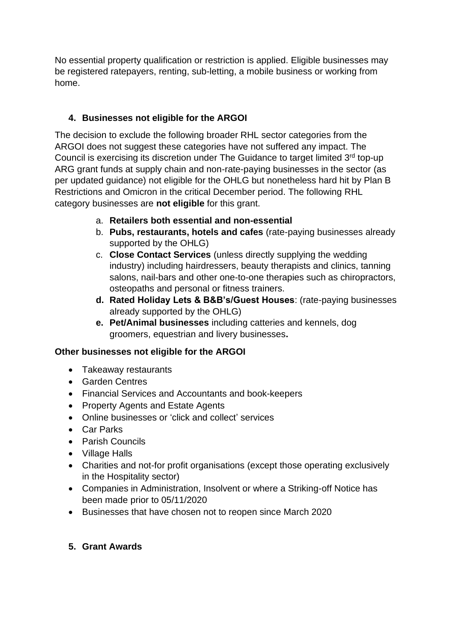No essential property qualification or restriction is applied. Eligible businesses may be registered ratepayers, renting, sub-letting, a mobile business or working from home.

# **4. Businesses not eligible for the ARGOI**

The decision to exclude the following broader RHL sector categories from the ARGOI does not suggest these categories have not suffered any impact. The Council is exercising its discretion under The Guidance to target limited 3rd top-up ARG grant funds at supply chain and non-rate-paying businesses in the sector (as per updated guidance) not eligible for the OHLG but nonetheless hard hit by Plan B Restrictions and Omicron in the critical December period. The following RHL category businesses are **not eligible** for this grant.

- a. **Retailers both essential and non-essential**
- b. **Pubs, restaurants, hotels and cafes** (rate-paying businesses already supported by the OHLG)
- c. **Close Contact Services** (unless directly supplying the wedding industry) including hairdressers, beauty therapists and clinics, tanning salons, nail-bars and other one-to-one therapies such as chiropractors, osteopaths and personal or fitness trainers.
- **d. Rated Holiday Lets & B&B's/Guest Houses**: (rate-paying businesses already supported by the OHLG)
- **e. Pet/Animal businesses** including catteries and kennels, dog groomers, equestrian and livery businesses**.**

### **Other businesses not eligible for the ARGOI**

- Takeaway restaurants
- Garden Centres
- Financial Services and Accountants and book-keepers
- Property Agents and Estate Agents
- Online businesses or 'click and collect' services
- Car Parks
- Parish Councils
- Village Halls
- Charities and not-for profit organisations (except those operating exclusively in the Hospitality sector)
- Companies in Administration, Insolvent or where a Striking-off Notice has been made prior to 05/11/2020
- Businesses that have chosen not to reopen since March 2020

### **5. Grant Awards**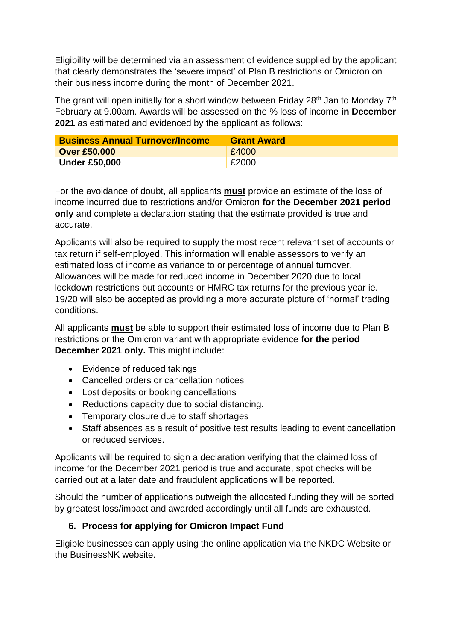Eligibility will be determined via an assessment of evidence supplied by the applicant that clearly demonstrates the 'severe impact' of Plan B restrictions or Omicron on their business income during the month of December 2021.

The grant will open initially for a short window between Friday  $28<sup>th</sup>$  Jan to Monday  $7<sup>th</sup>$ February at 9.00am. Awards will be assessed on the % loss of income **in December 2021** as estimated and evidenced by the applicant as follows:

| <b>Business Annual Turnover/Income</b> | <b>Grant Award</b> |
|----------------------------------------|--------------------|
| <b>Over £50,000</b>                    | £4000              |
| <b>Under £50,000</b>                   | £2000              |

For the avoidance of doubt, all applicants **must** provide an estimate of the loss of income incurred due to restrictions and/or Omicron **for the December 2021 period only** and complete a declaration stating that the estimate provided is true and accurate.

Applicants will also be required to supply the most recent relevant set of accounts or tax return if self-employed. This information will enable assessors to verify an estimated loss of income as variance to or percentage of annual turnover. Allowances will be made for reduced income in December 2020 due to local lockdown restrictions but accounts or HMRC tax returns for the previous year ie. 19/20 will also be accepted as providing a more accurate picture of 'normal' trading conditions.

All applicants **must** be able to support their estimated loss of income due to Plan B restrictions or the Omicron variant with appropriate evidence **for the period December 2021 only.** This might include:

- Evidence of reduced takings
- Cancelled orders or cancellation notices
- Lost deposits or booking cancellations
- Reductions capacity due to social distancing.
- Temporary closure due to staff shortages
- Staff absences as a result of positive test results leading to event cancellation or reduced services.

Applicants will be required to sign a declaration verifying that the claimed loss of income for the December 2021 period is true and accurate, spot checks will be carried out at a later date and fraudulent applications will be reported.

Should the number of applications outweigh the allocated funding they will be sorted by greatest loss/impact and awarded accordingly until all funds are exhausted.

### **6. Process for applying for Omicron Impact Fund**

Eligible businesses can apply using the online application via the NKDC Website or the BusinessNK website.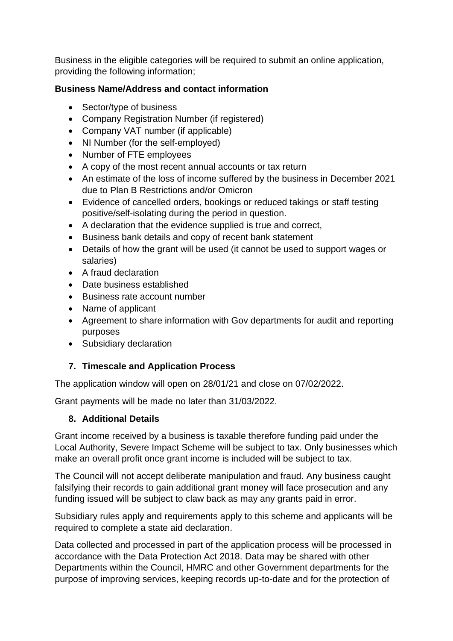Business in the eligible categories will be required to submit an online application, providing the following information;

#### **Business Name/Address and contact information**

- Sector/type of business
- Company Registration Number (if registered)
- Company VAT number (if applicable)
- NI Number (for the self-employed)
- Number of FTE employees
- A copy of the most recent annual accounts or tax return
- An estimate of the loss of income suffered by the business in December 2021 due to Plan B Restrictions and/or Omicron
- Evidence of cancelled orders, bookings or reduced takings or staff testing positive/self-isolating during the period in question.
- A declaration that the evidence supplied is true and correct,
- Business bank details and copy of recent bank statement
- Details of how the grant will be used (it cannot be used to support wages or salaries)
- A fraud declaration
- Date business established
- Business rate account number
- Name of applicant
- Agreement to share information with Gov departments for audit and reporting purposes
- Subsidiary declaration

### **7. Timescale and Application Process**

The application window will open on 28/01/21 and close on 07/02/2022.

Grant payments will be made no later than 31/03/2022.

#### **8. Additional Details**

Grant income received by a business is taxable therefore funding paid under the Local Authority, Severe Impact Scheme will be subject to tax. Only businesses which make an overall profit once grant income is included will be subject to tax.

The Council will not accept deliberate manipulation and fraud. Any business caught falsifying their records to gain additional grant money will face prosecution and any funding issued will be subject to claw back as may any grants paid in error.

Subsidiary rules apply and requirements apply to this scheme and applicants will be required to complete a state aid declaration.

Data collected and processed in part of the application process will be processed in accordance with the Data Protection Act 2018. Data may be shared with other Departments within the Council, HMRC and other Government departments for the purpose of improving services, keeping records up-to-date and for the protection of